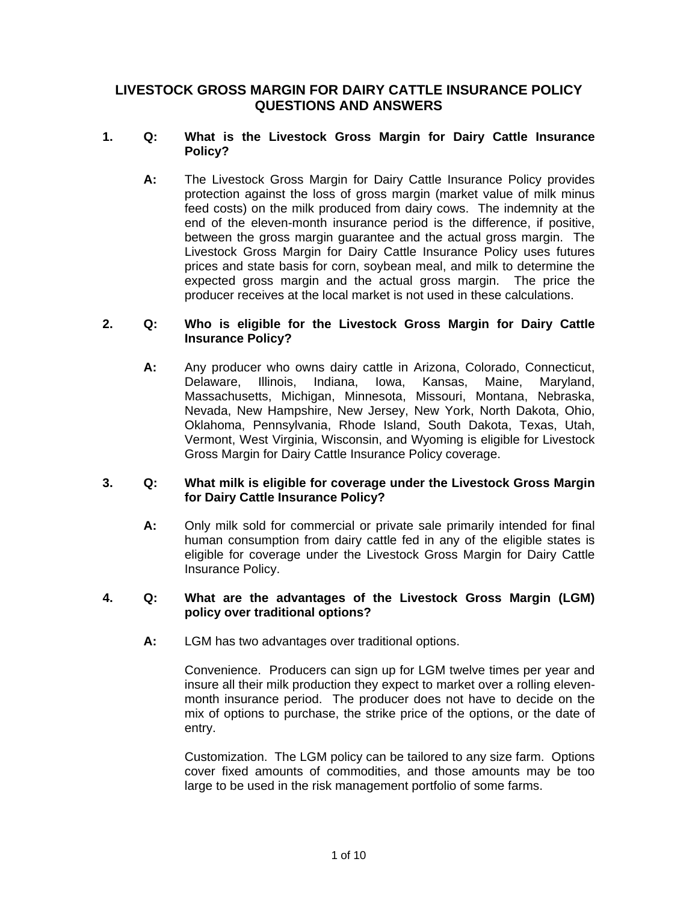# **LIVESTOCK GROSS MARGIN FOR DAIRY CATTLE INSURANCE POLICY QUESTIONS AND ANSWERS**

### **1. Q: What is the Livestock Gross Margin for Dairy Cattle Insurance Policy?**

**A:** The Livestock Gross Margin for Dairy Cattle Insurance Policy provides protection against the loss of gross margin (market value of milk minus feed costs) on the milk produced from dairy cows. The indemnity at the end of the eleven-month insurance period is the difference, if positive, between the gross margin guarantee and the actual gross margin. The Livestock Gross Margin for Dairy Cattle Insurance Policy uses futures prices and state basis for corn, soybean meal, and milk to determine the expected gross margin and the actual gross margin. The price the producer receives at the local market is not used in these calculations.

### **2. Q: Who is eligible for the Livestock Gross Margin for Dairy Cattle Insurance Policy?**

**A:** Any producer who owns dairy cattle in Arizona, Colorado, Connecticut, Delaware, Illinois, Indiana, Iowa, Kansas, Maine, Maryland, Massachusetts, Michigan, Minnesota, Missouri, Montana, Nebraska, Nevada, New Hampshire, New Jersey, New York, North Dakota, Ohio, Oklahoma, Pennsylvania, Rhode Island, South Dakota, Texas, Utah, Vermont, West Virginia, Wisconsin, and Wyoming is eligible for Livestock Gross Margin for Dairy Cattle Insurance Policy coverage.

#### **3. Q: What milk is eligible for coverage under the Livestock Gross Margin for Dairy Cattle Insurance Policy?**

**A:** Only milk sold for commercial or private sale primarily intended for final human consumption from dairy cattle fed in any of the eligible states is eligible for coverage under the Livestock Gross Margin for Dairy Cattle Insurance Policy.

#### **4. Q: What are the advantages of the Livestock Gross Margin (LGM) policy over traditional options?**

**A:** LGM has two advantages over traditional options.

 mix of options to purchase, the strike price of the options, or the date of Convenience. Producers can sign up for LGM twelve times per year and insure all their milk production they expect to market over a rolling elevenmonth insurance period. The producer does not have to decide on the entry.

Customization. The LGM policy can be tailored to any size farm. Options cover fixed amounts of commodities, and those amounts may be too large to be used in the risk management portfolio of some farms.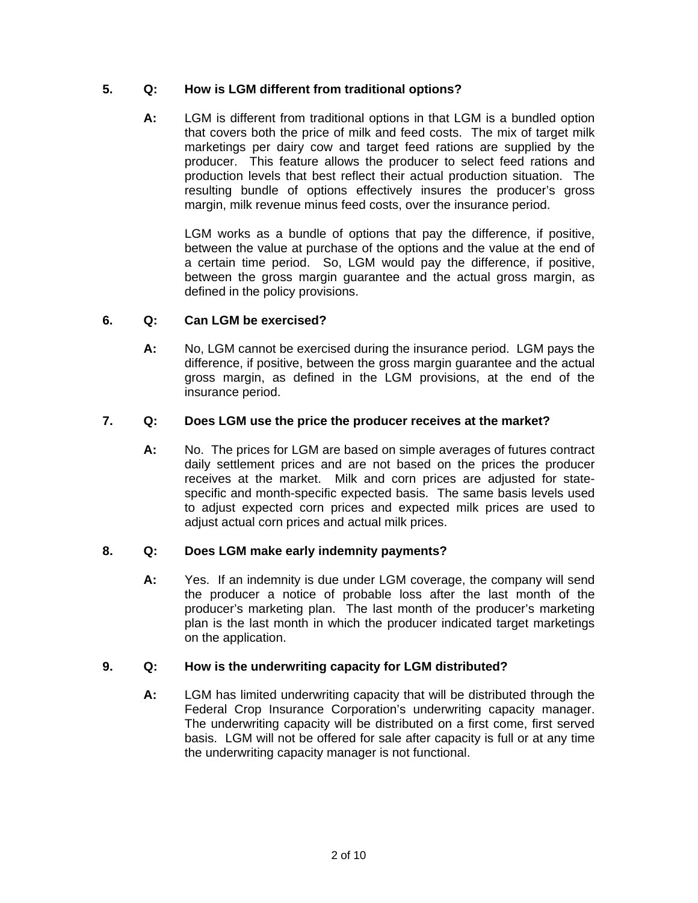# **5. Q: How is LGM different from traditional options?**

**A:** LGM is different from traditional options in that LGM is a bundled option that covers both the price of milk and feed costs. The mix of target milk marketings per dairy cow and target feed rations are supplied by the producer. This feature allows the producer to select feed rations and production levels that best reflect their actual production situation. The resulting bundle of options effectively insures the producer's gross margin, milk revenue minus feed costs, over the insurance period.

LGM works as a bundle of options that pay the difference, if positive, between the value at purchase of the options and the value at the end of a certain time period. So, LGM would pay the difference, if positive, between the gross margin guarantee and the actual gross margin, as defined in the policy provisions.

## **6. Q: Can LGM be exercised?**

**A:** No, LGM cannot be exercised during the insurance period. LGM pays the difference, if positive, between the gross margin guarantee and the actual gross margin, as defined in the LGM provisions, at the end of the insurance period.

# **7. Q: Does LGM use the price the producer receives at the market?**

**A:** No. The prices for LGM are based on simple averages of futures contract daily settlement prices and are not based on the prices the producer receives at the market. Milk and corn prices are adjusted for statespecific and month-specific expected basis. The same basis levels used to adjust expected corn prices and expected milk prices are used to adjust actual corn prices and actual milk prices.

## **8. Q: Does LGM make early indemnity payments?**

**A:** Yes. If an indemnity is due under LGM coverage, the company will send the producer a notice of probable loss after the last month of the producer's marketing plan. The last month of the producer's marketing plan is the last month in which the producer indicated target marketings on the application.

# **9. Q: How is the underwriting capacity for LGM distributed?**

Federal Crop Insurance Corporation's underwriting capacity manager. **A:** LGM has limited underwriting capacity that will be distributed through the The underwriting capacity will be distributed on a first come, first served basis. LGM will not be offered for sale after capacity is full or at any time the underwriting capacity manager is not functional.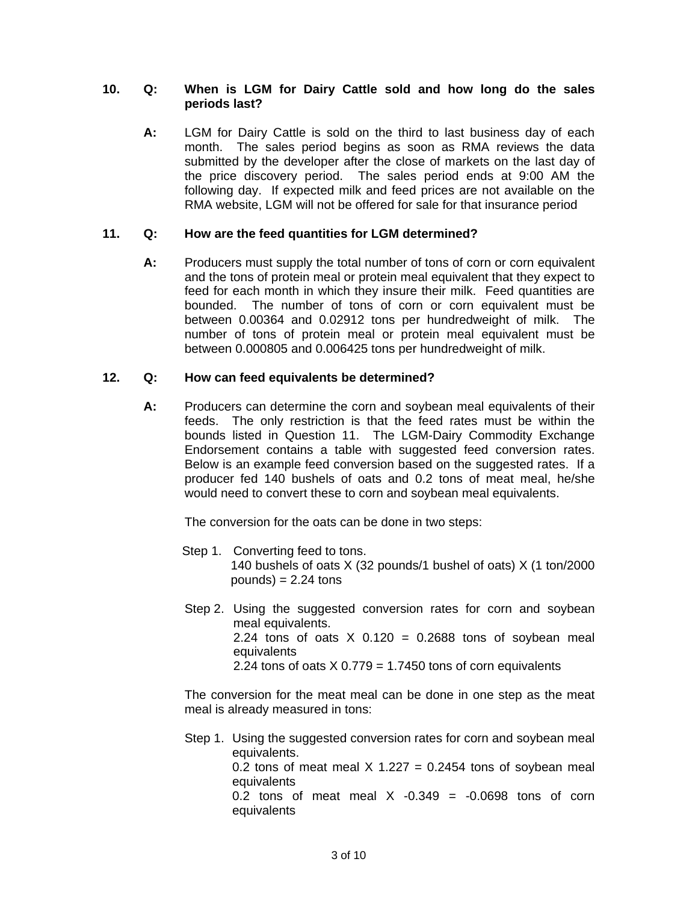### **10. Q: When is LGM for Dairy Cattle sold and how long do the sales periods last?**

**A:** LGM for Dairy Cattle is sold on the third to last business day of each month. The sales period begins as soon as RMA reviews the data submitted by the developer after the close of markets on the last day of the price discovery period. The sales period ends at 9:00 AM the following day. If expected milk and feed prices are not available on the RMA website, LGM will not be offered for sale for that insurance period

## **11. Q: How are the feed quantities for LGM determined?**

**A:** Producers must supply the total number of tons of corn or corn equivalent and the tons of protein meal or protein meal equivalent that they expect to feed for each month in which they insure their milk. Feed quantities are bounded. The number of tons of corn or corn equivalent must be between 0.00364 and 0.02912 tons per hundredweight of milk. The number of tons of protein meal or protein meal equivalent must be between 0.000805 and 0.006425 tons per hundredweight of milk.

### **12. Q: How can feed equivalents be determined?**

Endorsement contains a table with suggested feed conversion rates. **A:** Producers can determine the corn and soybean meal equivalents of their feeds. The only restriction is that the feed rates must be within the bounds listed in Question 11. The LGM-Dairy Commodity Exchange Below is an example feed conversion based on the suggested rates. If a producer fed 140 bushels of oats and 0.2 tons of meat meal, he/she would need to convert these to corn and soybean meal equivalents.

The conversion for the oats can be done in two steps:

- Step 1. Converting feed to tons. 140 bushels of oats X (32 pounds/1 bushel of oats) X (1 ton/2000  $pounds) = 2.24$  tons
- Step 2. Using the suggested conversion rates for corn and soybean meal equivalents. 2.24 tons of oats  $X$  0.120 = 0.2688 tons of soybean meal equivalents 2.24 tons of oats  $X$  0.779 = 1.7450 tons of corn equivalents

The conversion for the meat meal can be done in one step as the meat meal is already measured in tons:

Step 1. Using the suggested conversion rates for corn and soybean meal equivalents. 0.2 tons of meat meal  $X$  1.227 = 0.2454 tons of soybean meal equivalents 0.2 tons of meat meal  $X -0.349 = -0.0698$  tons of corn equivalents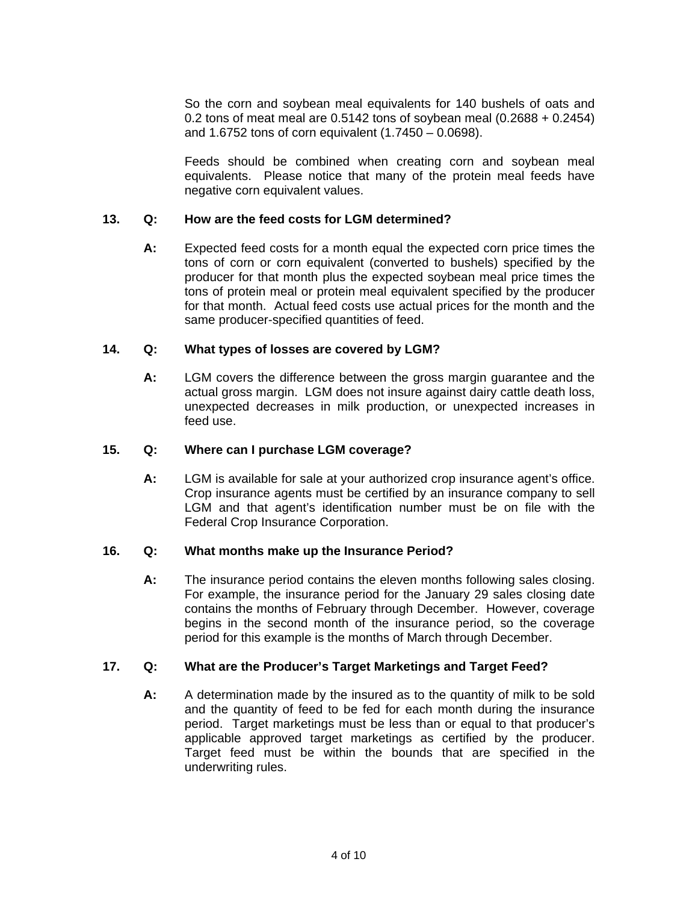So the corn and soybean meal equivalents for 140 bushels of oats and 0.2 tons of meat meal are 0.5142 tons of soybean meal (0.2688 + 0.2454) and 1.6752 tons of corn equivalent (1.7450 – 0.0698).

Feeds should be combined when creating corn and soybean meal equivalents. Please notice that many of the protein meal feeds have negative corn equivalent values.

### **13. Q: How are the feed costs for LGM determined?**

**A:** Expected feed costs for a month equal the expected corn price times the tons of corn or corn equivalent (converted to bushels) specified by the producer for that month plus the expected soybean meal price times the tons of protein meal or protein meal equivalent specified by the producer for that month. Actual feed costs use actual prices for the month and the same producer-specified quantities of feed.

#### **14. Q: What types of losses are covered by LGM?**

**A:** LGM covers the difference between the gross margin guarantee and the actual gross margin. LGM does not insure against dairy cattle death loss, unexpected decreases in milk production, or unexpected increases in feed use.

### **15. Q: Where can I purchase LGM coverage?**

LGM is available for sale at your authorized crop insurance agent's office. **A:** LGM is available for sale at your authorized crop insurance agent's office.<br>Crop insurance agents must be certified by an insurance company to sell LGM and that agent's identification number must be on file with the Federal Crop Insurance Corporation.

#### **16. Q: What months make up the Insurance Period?**

The insurance period contains the eleven months following sales closing. **A:** The insurance period contains the eleven months following sales closing. For example, the insurance period for the January 29 sales closing date contains the months of February through December. However, coverage begins in the second month of the insurance period, so the coverage period for this example is the months of March through December.

## **17. Q: What are the Producer's Target Marketings and Target Feed?**

**A:** A determination made by the insured as to the quantity of milk to be sold and the quantity of feed to be fed for each month during the insurance period. Target marketings must be less than or equal to that producer's applicable approved target marketings as certified by the producer. Target feed must be within the bounds that are specified in the underwriting rules.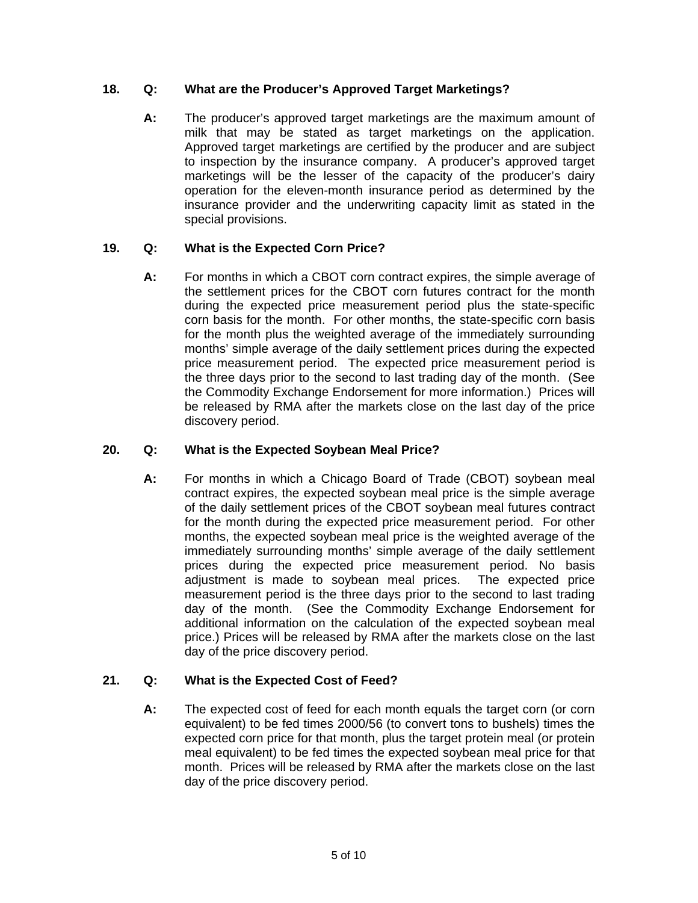# **18. Q: What are the Producer's Approved Target Marketings?**

milk that may be stated as target marketings on the application. **A:** The producer's approved target marketings are the maximum amount of Approved target marketings are certified by the producer and are subject to inspection by the insurance company. A producer's approved target marketings will be the lesser of the capacity of the producer's dairy operation for the eleven-month insurance period as determined by the insurance provider and the underwriting capacity limit as stated in the special provisions.

# **19. Q: What is the Expected Corn Price?**

 **A:** For months in which a CBOT corn contract expires, the simple average of the settlement prices for the CBOT corn futures contract for the month during the expected price measurement period plus the state-specific corn basis for the month. For other months, the state-specific corn basis for the month plus the weighted average of the immediately surrounding months' simple average of the daily settlement prices during the expected price measurement period. The expected price measurement period is the three days prior to the second to last trading day of the month. (See the Commodity Exchange Endorsement for more information.) Prices will be released by RMA after the markets close on the last day of the price discovery period.

## **20. Q: What is the Expected Soybean Meal Price?**

**A:** For months in which a Chicago Board of Trade (CBOT) soybean meal contract expires, the expected soybean meal price is the simple average of the daily settlement prices of the CBOT soybean meal futures contract for the month during the expected price measurement period. For other months, the expected soybean meal price is the weighted average of the immediately surrounding months' simple average of the daily settlement prices during the expected price measurement period. No basis adjustment is made to soybean meal prices. The expected price measurement period is the three days prior to the second to last trading day of the month. (See the Commodity Exchange Endorsement for additional information on the calculation of the expected soybean meal price.) Prices will be released by RMA after the markets close on the last day of the price discovery period.

## **21. Q: What is the Expected Cost of Feed?**

**A:** The expected cost of feed for each month equals the target corn (or corn equivalent) to be fed times 2000/56 (to convert tons to bushels) times the expected corn price for that month, plus the target protein meal (or protein meal equivalent) to be fed times the expected soybean meal price for that month. Prices will be released by RMA after the markets close on the last day of the price discovery period.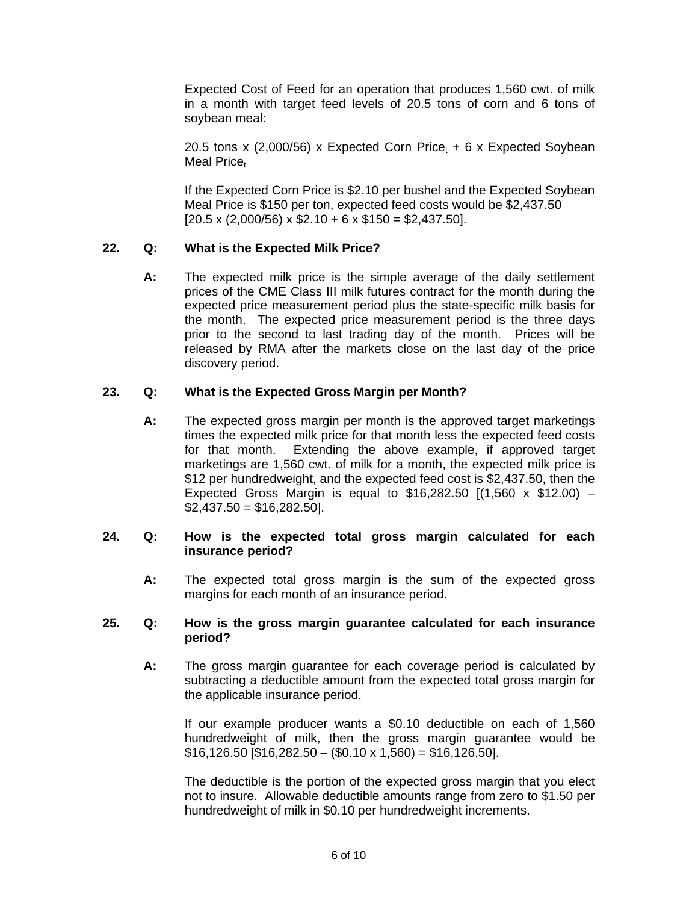Expected Cost of Feed for an operation that produces 1,560 cwt. of milk in a month with target feed levels of 20.5 tons of corn and 6 tons of soybean meal:

20.5 tons x (2,000/56) x Expected Corn Price<sub>t</sub> + 6 x Expected Soybean Meal Price

If the Expected Corn Price is \$2.10 per bushel and the Expected Soybean Meal Price is \$150 per ton, expected feed costs would be \$2,437.50  $[20.5 \times (2,000/56) \times $2.10 + 6 \times $150 = $2,437.50].$ 

## **22. Q: What is the Expected Milk Price?**

**A:** The expected milk price is the simple average of the daily settlement prices of the CME Class III milk futures contract for the month during the expected price measurement period plus the state-specific milk basis for the month. The expected price measurement period is the three days prior to the second to last trading day of the month. Prices will be released by RMA after the markets close on the last day of the price discovery period.

## **23. Q: What is the Expected Gross Margin per Month?**

**A:** The expected gross margin per month is the approved target marketings times the expected milk price for that month less the expected feed costs for that month. Extending the above example, if approved target marketings are 1,560 cwt. of milk for a month, the expected milk price is \$12 per hundredweight, and the expected feed cost is \$2,437.50, then the Expected Gross Margin is equal to  $$16,282.50$   $[(1,560 \times $12.00) $2,437.50 = $16,282.50$ .

### **24. Q: How is the expected total gross margin calculated for each insurance period?**

**A:** The expected total gross margin is the sum of the expected gross margins for each month of an insurance period.

### **25. Q: How is the gross margin guarantee calculated for each insurance period?**

**A:** The gross margin guarantee for each coverage period is calculated by subtracting a deductible amount from the expected total gross margin for the applicable insurance period.

If our example producer wants a \$0.10 deductible on each of 1,560 hundredweight of milk, then the gross margin guarantee would be  $$16,126.50$   $$16,282.50 - $0.10 \times 1,560$  = \$16,126.50].

The deductible is the portion of the expected gross margin that you elect not to insure. Allowable deductible amounts range from zero to \$1.50 per hundredweight of milk in \$0.10 per hundredweight increments.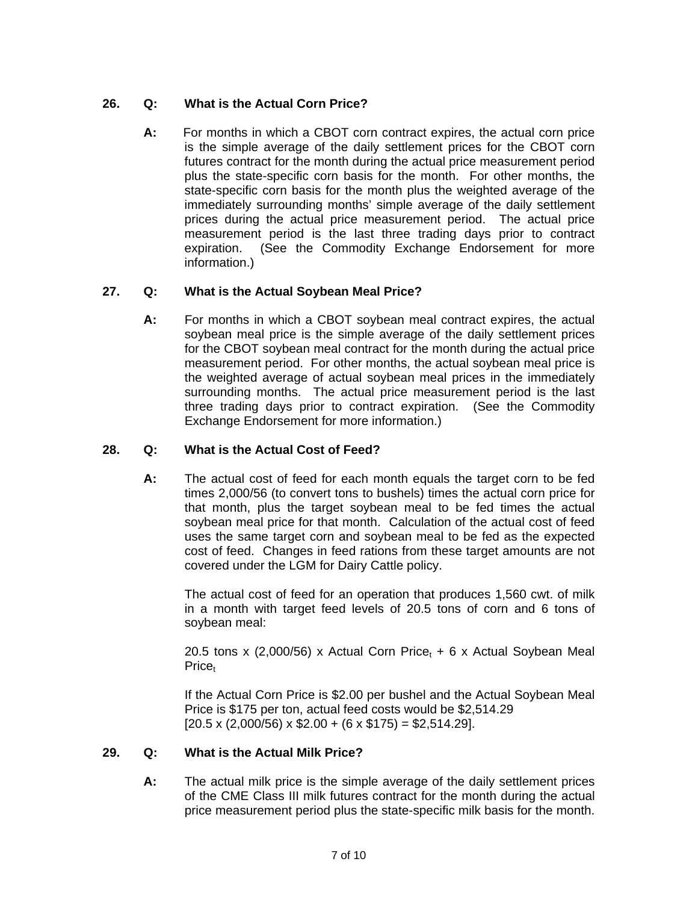# **26. Q: What is the Actual Corn Price?**

**A:** For months in which a CBOT corn contract expires, the actual corn price is the simple average of the daily settlement prices for the CBOT corn futures contract for the month during the actual price measurement period plus the state-specific corn basis for the month. For other months, the state-specific corn basis for the month plus the weighted average of the immediately surrounding months' simple average of the daily settlement prices during the actual price measurement period. The actual price measurement period is the last three trading days prior to contract expiration. (See the Commodity Exchange Endorsement for more information.)

# **27. Q: What is the Actual Soybean Meal Price?**

**A:** For months in which a CBOT soybean meal contract expires, the actual soybean meal price is the simple average of the daily settlement prices for the CBOT soybean meal contract for the month during the actual price measurement period. For other months, the actual soybean meal price is the weighted average of actual soybean meal prices in the immediately surrounding months. The actual price measurement period is the last three trading days prior to contract expiration. (See the Commodity Exchange Endorsement for more information.)

# **28. Q: What is the Actual Cost of Feed?**

**A:** The actual cost of feed for each month equals the target corn to be fed times 2,000/56 (to convert tons to bushels) times the actual corn price for that month, plus the target soybean meal to be fed times the actual soybean meal price for that month. Calculation of the actual cost of feed uses the same target corn and soybean meal to be fed as the expected cost of feed. Changes in feed rations from these target amounts are not covered under the LGM for Dairy Cattle policy.

The actual cost of feed for an operation that produces 1,560 cwt. of milk in a month with target feed levels of 20.5 tons of corn and 6 tons of soybean meal:

20.5 tons x (2,000/56) x Actual Corn Price<sub>t</sub> + 6 x Actual Soybean Meal Price<sub>t</sub>

If the Actual Corn Price is \$2.00 per bushel and the Actual Soybean Meal Price is \$175 per ton, actual feed costs would be \$2,514.29  $[20.5 \times (2,000/56) \times $2.00 + (6 \times $175) = $2,514.29]$ .

# **29. Q: What is the Actual Milk Price?**

А: **A:** The actual milk price is the simple average of the daily settlement prices of the CME Class III milk futures contract for the month during the actual price measurement period plus the state-specific milk basis for the month.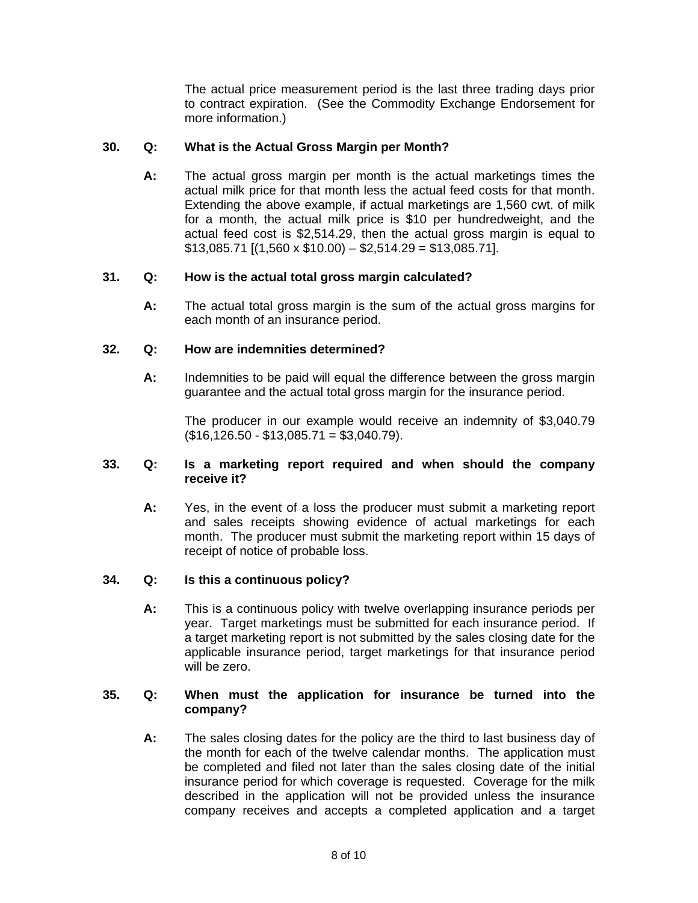The actual price measurement period is the last three trading days prior to contract expiration. (See the Commodity Exchange Endorsement for more information.)

### **30. Q: What is the Actual Gross Margin per Month?**

actual milk price for that month less the actual feed costs for that month. **A:** The actual gross margin per month is the actual marketings times the Extending the above example, if actual marketings are 1,560 cwt. of milk for a month, the actual milk price is \$10 per hundredweight, and the actual feed cost is \$2,514.29, then the actual gross margin is equal to  $$13,085.71$  [(1,560 x  $$10.00$ ) –  $$2,514.29 = $13,085.71$ ].

### **31. Q: How is the actual total gross margin calculated?**

**A:** The actual total gross margin is the sum of the actual gross margins for each month of an insurance period.

### **32. Q: How are indemnities determined?**

**A:** Indemnities to be paid will equal the difference between the gross margin guarantee and the actual total gross margin for the insurance period.

The producer in our example would receive an indemnity of \$3,040.79  $($16,126.50 - $13,085.71 = $3,040.79).$ 

### **33. Q: Is a marketing report required and when should the company receive it?**

**A:** Yes, in the event of a loss the producer must submit a marketing report and sales receipts showing evidence of actual marketings for each month. The producer must submit the marketing report within 15 days of receipt of notice of probable loss.

#### **34. Q: Is this a continuous policy?**

**A:** This is a continuous policy with twelve overlapping insurance periods per year. Target marketings must be submitted for each insurance period. If a target marketing report is not submitted by the sales closing date for the applicable insurance period, target marketings for that insurance period will be zero.

#### **35. Q: When must the application for insurance be turned into the company?**

**A:** The sales closing dates for the policy are the third to last business day of the month for each of the twelve calendar months. The application must be completed and filed not later than the sales closing date of the initial insurance period for which coverage is requested. Coverage for the milk described in the application will not be provided unless the insurance company receives and accepts a completed application and a target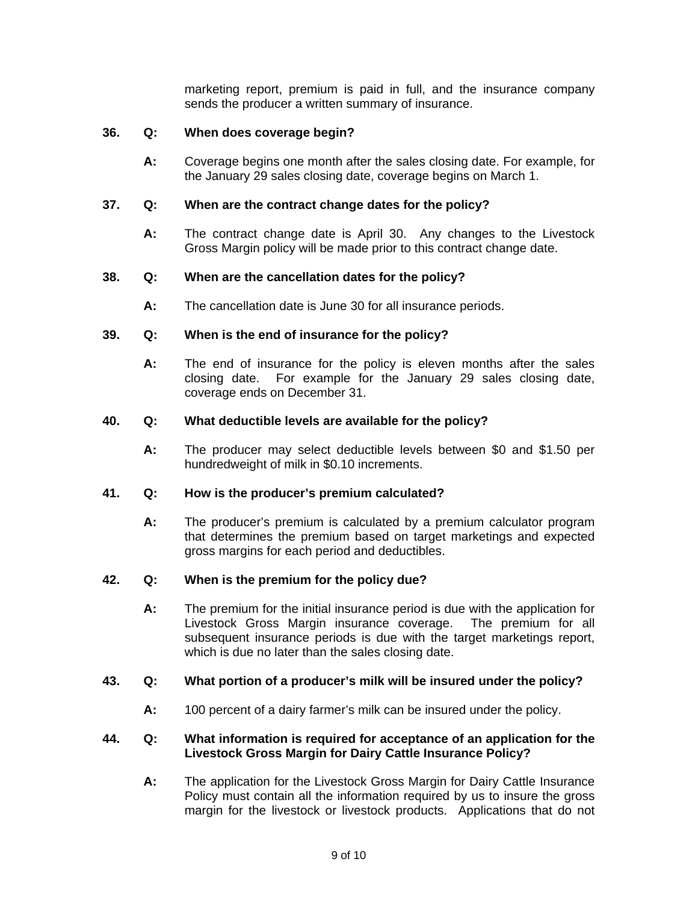marketing report, premium is paid in full, and the insurance company sends the producer a written summary of insurance.

### **36. Q: When does coverage begin?**

**A:** Coverage begins one month after the sales closing date. For example, for the January 29 sales closing date, coverage begins on March 1.

#### **37. Q: When are the contract change dates for the policy?**

**A:** The contract change date is April 30. Any changes to the Livestock Gross Margin policy will be made prior to this contract change date.

### **38. Q: When are the cancellation dates for the policy?**

**A:** The cancellation date is June 30 for all insurance periods.

### **39. Q: When is the end of insurance for the policy?**

**A:** The end of insurance for the policy is eleven months after the sales closing date. For example for the January 29 sales closing date, coverage ends on December 31.

### **40. Q: What deductible levels are available for the policy?**

**A:** The producer may select deductible levels between \$0 and \$1.50 per hundredweight of milk in \$0.10 increments.

### **41. Q: How is the producer's premium calculated?**

**A:** The producer's premium is calculated by a premium calculator program that determines the premium based on target marketings and expected gross margins for each period and deductibles.

## **42. Q: When is the premium for the policy due?**

**A:** The premium for the initial insurance period is due with the application for Livestock Gross Margin insurance coverage. The premium for all subsequent insurance periods is due with the target marketings report, which is due no later than the sales closing date.

#### **43. Q: What portion of a producer's milk will be insured under the policy?**

**A:** 100 percent of a dairy farmer's milk can be insured under the policy.

### **44. Q: What information is required for acceptance of an application for the Livestock Gross Margin for Dairy Cattle Insurance Policy?**

**A:** The application for the Livestock Gross Margin for Dairy Cattle Insurance Policy must contain all the information required by us to insure the gross margin for the livestock or livestock products. Applications that do not